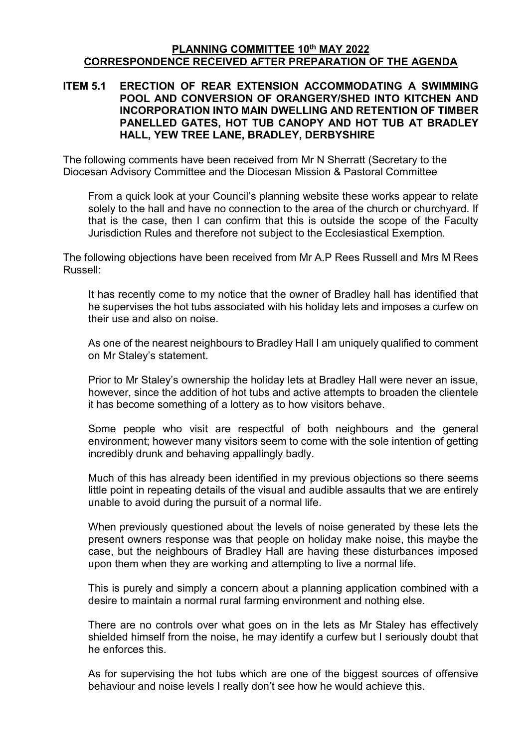#### **PLANNING COMMITTEE 10th MAY 2022 CORRESPONDENCE RECEIVED AFTER PREPARATION OF THE AGENDA**

#### **ITEM 5.1 ERECTION OF REAR EXTENSION ACCOMMODATING A SWIMMING POOL AND CONVERSION OF ORANGERY/SHED INTO KITCHEN AND INCORPORATION INTO MAIN DWELLING AND RETENTION OF TIMBER PANELLED GATES, HOT TUB CANOPY AND HOT TUB AT BRADLEY HALL, YEW TREE LANE, BRADLEY, DERBYSHIRE**

The following comments have been received from Mr N Sherratt (Secretary to the Diocesan Advisory Committee and the Diocesan Mission & Pastoral Committee

From a quick look at your Council's planning website these works appear to relate solely to the hall and have no connection to the area of the church or churchyard. If that is the case, then I can confirm that this is outside the scope of the Faculty Jurisdiction Rules and therefore not subject to the Ecclesiastical Exemption.

The following objections have been received from Mr A.P Rees Russell and Mrs M Rees Russell:

It has recently come to my notice that the owner of Bradley hall has identified that he supervises the hot tubs associated with his holiday lets and imposes a curfew on their use and also on noise.

As one of the nearest neighbours to Bradley Hall I am uniquely qualified to comment on Mr Staley's statement.

Prior to Mr Staley's ownership the holiday lets at Bradley Hall were never an issue, however, since the addition of hot tubs and active attempts to broaden the clientele it has become something of a lottery as to how visitors behave.

Some people who visit are respectful of both neighbours and the general environment; however many visitors seem to come with the sole intention of getting incredibly drunk and behaving appallingly badly.

Much of this has already been identified in my previous objections so there seems little point in repeating details of the visual and audible assaults that we are entirely unable to avoid during the pursuit of a normal life.

When previously questioned about the levels of noise generated by these lets the present owners response was that people on holiday make noise, this maybe the case, but the neighbours of Bradley Hall are having these disturbances imposed upon them when they are working and attempting to live a normal life.

This is purely and simply a concern about a planning application combined with a desire to maintain a normal rural farming environment and nothing else.

There are no controls over what goes on in the lets as Mr Staley has effectively shielded himself from the noise, he may identify a curfew but I seriously doubt that he enforces this.

As for supervising the hot tubs which are one of the biggest sources of offensive behaviour and noise levels I really don't see how he would achieve this.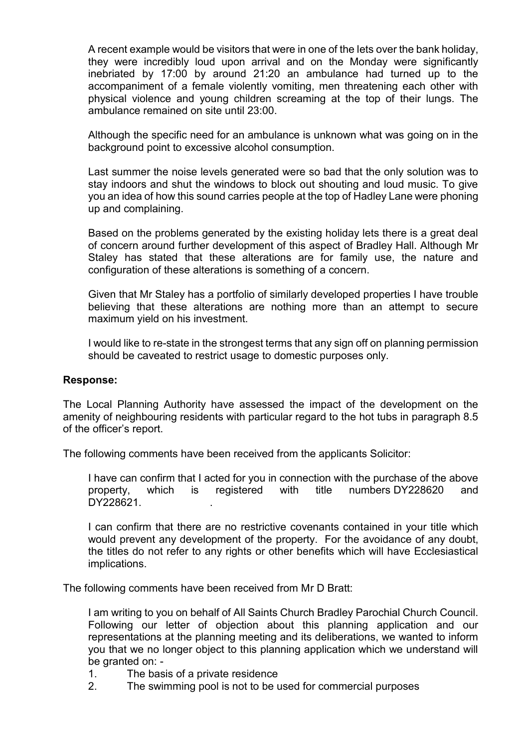A recent example would be visitors that were in one of the lets over the bank holiday, they were incredibly loud upon arrival and on the Monday were significantly inebriated by 17:00 by around 21:20 an ambulance had turned up to the accompaniment of a female violently vomiting, men threatening each other with physical violence and young children screaming at the top of their lungs. The ambulance remained on site until 23:00.

Although the specific need for an ambulance is unknown what was going on in the background point to excessive alcohol consumption.

Last summer the noise levels generated were so bad that the only solution was to stay indoors and shut the windows to block out shouting and loud music. To give you an idea of how this sound carries people at the top of Hadley Lane were phoning up and complaining.

Based on the problems generated by the existing holiday lets there is a great deal of concern around further development of this aspect of Bradley Hall. Although Mr Staley has stated that these alterations are for family use, the nature and configuration of these alterations is something of a concern.

Given that Mr Staley has a portfolio of similarly developed properties I have trouble believing that these alterations are nothing more than an attempt to secure maximum yield on his investment.

I would like to re-state in the strongest terms that any sign off on planning permission should be caveated to restrict usage to domestic purposes only.

#### **Response:**

The Local Planning Authority have assessed the impact of the development on the amenity of neighbouring residents with particular regard to the hot tubs in paragraph 8.5 of the officer's report.

The following comments have been received from the applicants Solicitor:

I have can confirm that I acted for you in connection with the purchase of the above property, which is registered with title numbers DY228620 and DY228621

I can confirm that there are no restrictive covenants contained in your title which would prevent any development of the property. For the avoidance of any doubt, the titles do not refer to any rights or other benefits which will have Ecclesiastical implications.

The following comments have been received from Mr D Bratt:

I am writing to you on behalf of All Saints Church Bradley Parochial Church Council. Following our letter of objection about this planning application and our representations at the planning meeting and its deliberations, we wanted to inform you that we no longer object to this planning application which we understand will be granted on: -

- 1. The basis of a private residence
- 2. The swimming pool is not to be used for commercial purposes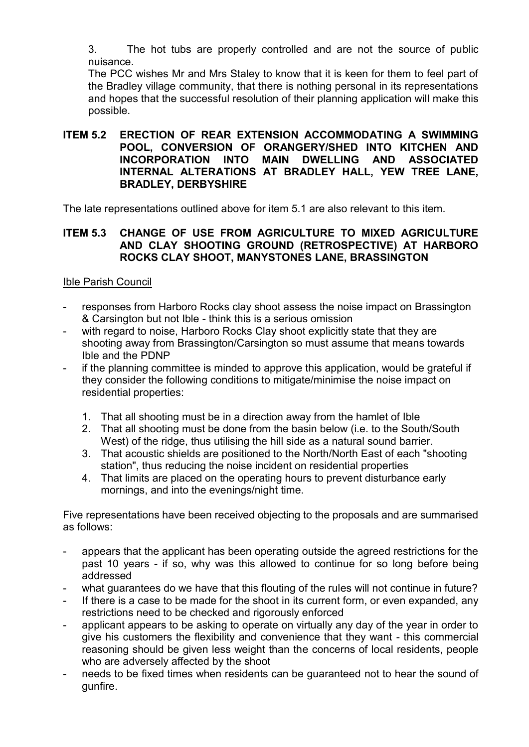3. The hot tubs are properly controlled and are not the source of public nuisance.

The PCC wishes Mr and Mrs Staley to know that it is keen for them to feel part of the Bradley village community, that there is nothing personal in its representations and hopes that the successful resolution of their planning application will make this possible.

### **ITEM 5.2 ERECTION OF REAR EXTENSION ACCOMMODATING A SWIMMING POOL, CONVERSION OF ORANGERY/SHED INTO KITCHEN AND INCORPORATION INTO MAIN DWELLING AND ASSOCIATED INTERNAL ALTERATIONS AT BRADLEY HALL, YEW TREE LANE, BRADLEY, DERBYSHIRE**

The late representations outlined above for item 5.1 are also relevant to this item.

# **ITEM 5.3 CHANGE OF USE FROM AGRICULTURE TO MIXED AGRICULTURE AND CLAY SHOOTING GROUND (RETROSPECTIVE) AT HARBORO ROCKS CLAY SHOOT, MANYSTONES LANE, BRASSINGTON**

# Ible Parish Council

- responses from Harboro Rocks clay shoot assess the noise impact on Brassington & Carsington but not Ible - think this is a serious omission
- with regard to noise, Harboro Rocks Clay shoot explicitly state that they are shooting away from Brassington/Carsington so must assume that means towards Ible and the PDNP
- if the planning committee is minded to approve this application, would be grateful if they consider the following conditions to mitigate/minimise the noise impact on residential properties:
	- 1. That all shooting must be in a direction away from the hamlet of Ible
	- 2. That all shooting must be done from the basin below (i.e. to the South/South West) of the ridge, thus utilising the hill side as a natural sound barrier.
	- 3. That acoustic shields are positioned to the North/North East of each "shooting station", thus reducing the noise incident on residential properties
	- 4. That limits are placed on the operating hours to prevent disturbance early mornings, and into the evenings/night time.

Five representations have been received objecting to the proposals and are summarised as follows:

- appears that the applicant has been operating outside the agreed restrictions for the past 10 years - if so, why was this allowed to continue for so long before being addressed
- what guarantees do we have that this flouting of the rules will not continue in future?
- If there is a case to be made for the shoot in its current form, or even expanded, any restrictions need to be checked and rigorously enforced
- applicant appears to be asking to operate on virtually any day of the year in order to give his customers the flexibility and convenience that they want - this commercial reasoning should be given less weight than the concerns of local residents, people who are adversely affected by the shoot
- needs to be fixed times when residents can be guaranteed not to hear the sound of gunfire.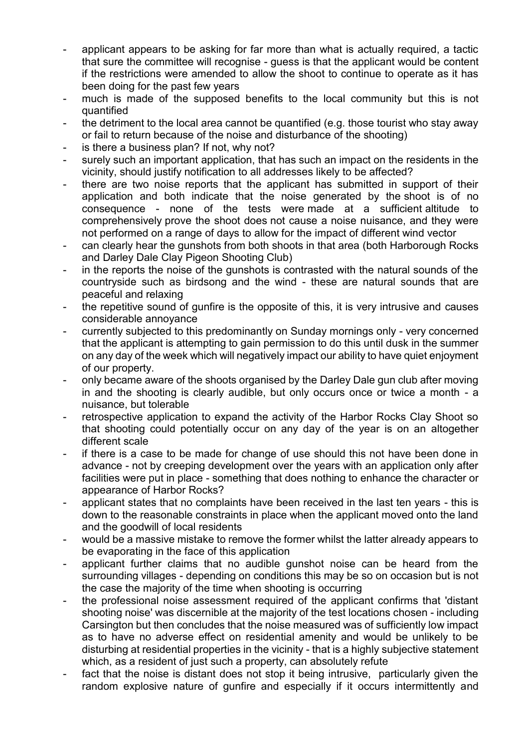- applicant appears to be asking for far more than what is actually required, a tactic that sure the committee will recognise - guess is that the applicant would be content if the restrictions were amended to allow the shoot to continue to operate as it has been doing for the past few years
- much is made of the supposed benefits to the local community but this is not quantified
- the detriment to the local area cannot be quantified (e.g. those tourist who stay away or fail to return because of the noise and disturbance of the shooting)
- is there a business plan? If not, why not?
- surely such an important application, that has such an impact on the residents in the vicinity, should justify notification to all addresses likely to be affected?
- there are two noise reports that the applicant has submitted in support of their application and both indicate that the noise generated by the shoot is of no consequence - none of the tests were made at a sufficient altitude to comprehensively prove the shoot does not cause a noise nuisance, and they were not performed on a range of days to allow for the impact of different wind vector
- can clearly hear the gunshots from both shoots in that area (both Harborough Rocks and Darley Dale Clay Pigeon Shooting Club)
- in the reports the noise of the gunshots is contrasted with the natural sounds of the countryside such as birdsong and the wind - these are natural sounds that are peaceful and relaxing
- the repetitive sound of gunfire is the opposite of this, it is very intrusive and causes considerable annoyance
- currently subjected to this predominantly on Sunday mornings only very concerned that the applicant is attempting to gain permission to do this until dusk in the summer on any day of the week which will negatively impact our ability to have quiet enjoyment of our property.
- only became aware of the shoots organised by the Darley Dale gun club after moving in and the shooting is clearly audible, but only occurs once or twice a month - a nuisance, but tolerable
- retrospective application to expand the activity of the Harbor Rocks Clay Shoot so that shooting could potentially occur on any day of the year is on an altogether different scale
- if there is a case to be made for change of use should this not have been done in advance - not by creeping development over the years with an application only after facilities were put in place - something that does nothing to enhance the character or appearance of Harbor Rocks?
- applicant states that no complaints have been received in the last ten years this is down to the reasonable constraints in place when the applicant moved onto the land and the goodwill of local residents
- would be a massive mistake to remove the former whilst the latter already appears to be evaporating in the face of this application
- applicant further claims that no audible gunshot noise can be heard from the surrounding villages - depending on conditions this may be so on occasion but is not the case the majority of the time when shooting is occurring
- the professional noise assessment required of the applicant confirms that 'distant shooting noise' was discernible at the majority of the test locations chosen - including Carsington but then concludes that the noise measured was of sufficiently low impact as to have no adverse effect on residential amenity and would be unlikely to be disturbing at residential properties in the vicinity - that is a highly subjective statement which, as a resident of just such a property, can absolutely refute
- fact that the noise is distant does not stop it being intrusive, particularly given the random explosive nature of gunfire and especially if it occurs intermittently and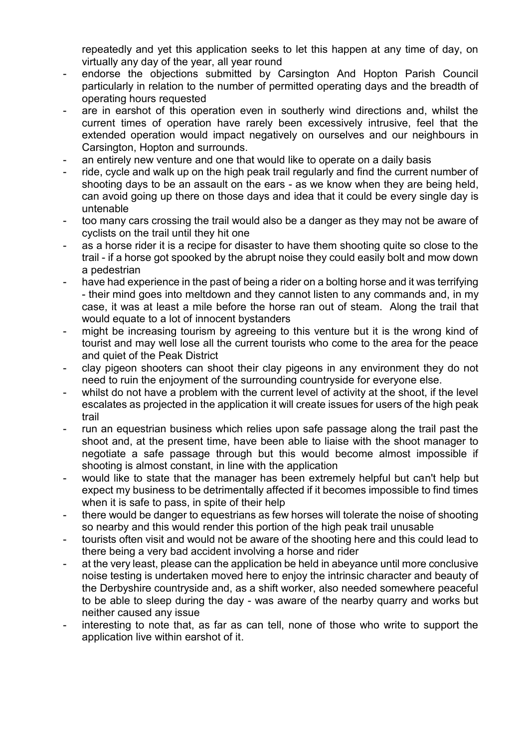repeatedly and yet this application seeks to let this happen at any time of day, on virtually any day of the year, all year round

- endorse the objections submitted by Carsington And Hopton Parish Council particularly in relation to the number of permitted operating days and the breadth of operating hours requested
- are in earshot of this operation even in southerly wind directions and, whilst the current times of operation have rarely been excessively intrusive, feel that the extended operation would impact negatively on ourselves and our neighbours in Carsington, Hopton and surrounds.
- an entirely new venture and one that would like to operate on a daily basis
- ride, cycle and walk up on the high peak trail regularly and find the current number of shooting days to be an assault on the ears - as we know when they are being held, can avoid going up there on those days and idea that it could be every single day is untenable
- too many cars crossing the trail would also be a danger as they may not be aware of cyclists on the trail until they hit one
- as a horse rider it is a recipe for disaster to have them shooting quite so close to the trail - if a horse got spooked by the abrupt noise they could easily bolt and mow down a pedestrian
- have had experience in the past of being a rider on a bolting horse and it was terrifying - their mind goes into meltdown and they cannot listen to any commands and, in my case, it was at least a mile before the horse ran out of steam. Along the trail that would equate to a lot of innocent bystanders
- might be increasing tourism by agreeing to this venture but it is the wrong kind of tourist and may well lose all the current tourists who come to the area for the peace and quiet of the Peak District
- clay pigeon shooters can shoot their clay pigeons in any environment they do not need to ruin the enjoyment of the surrounding countryside for everyone else.
- whilst do not have a problem with the current level of activity at the shoot, if the level escalates as projected in the application it will create issues for users of the high peak trail
- run an equestrian business which relies upon safe passage along the trail past the shoot and, at the present time, have been able to liaise with the shoot manager to negotiate a safe passage through but this would become almost impossible if shooting is almost constant, in line with the application
- would like to state that the manager has been extremely helpful but can't help but expect my business to be detrimentally affected if it becomes impossible to find times when it is safe to pass, in spite of their help
- there would be danger to equestrians as few horses will tolerate the noise of shooting so nearby and this would render this portion of the high peak trail unusable
- tourists often visit and would not be aware of the shooting here and this could lead to there being a very bad accident involving a horse and rider
- at the very least, please can the application be held in abeyance until more conclusive noise testing is undertaken moved here to enjoy the intrinsic character and beauty of the Derbyshire countryside and, as a shift worker, also needed somewhere peaceful to be able to sleep during the day - was aware of the nearby quarry and works but neither caused any issue
- interesting to note that, as far as can tell, none of those who write to support the application live within earshot of it.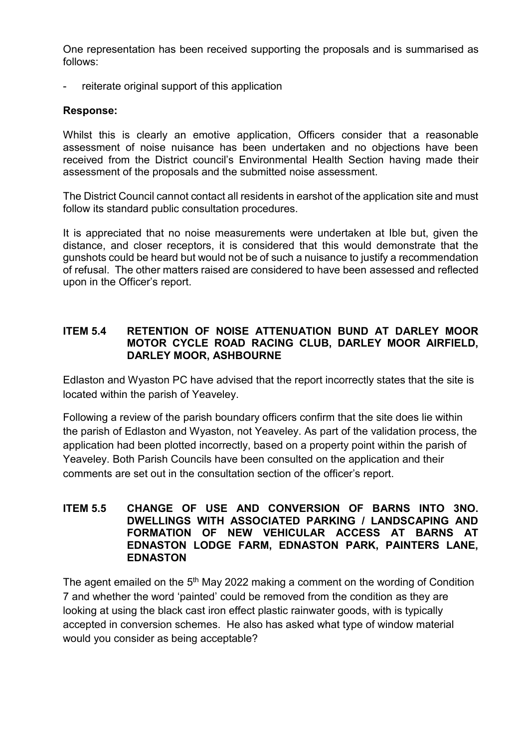One representation has been received supporting the proposals and is summarised as follows:

reiterate original support of this application

### **Response:**

Whilst this is clearly an emotive application, Officers consider that a reasonable assessment of noise nuisance has been undertaken and no objections have been received from the District council's Environmental Health Section having made their assessment of the proposals and the submitted noise assessment.

The District Council cannot contact all residents in earshot of the application site and must follow its standard public consultation procedures.

It is appreciated that no noise measurements were undertaken at Ible but, given the distance, and closer receptors, it is considered that this would demonstrate that the gunshots could be heard but would not be of such a nuisance to justify a recommendation of refusal. The other matters raised are considered to have been assessed and reflected upon in the Officer's report.

#### **ITEM 5.4 RETENTION OF NOISE ATTENUATION BUND AT DARLEY MOOR MOTOR CYCLE ROAD RACING CLUB, DARLEY MOOR AIRFIELD, DARLEY MOOR, ASHBOURNE**

Edlaston and Wyaston PC have advised that the report incorrectly states that the site is located within the parish of Yeaveley.

Following a review of the parish boundary officers confirm that the site does lie within the parish of Edlaston and Wyaston, not Yeaveley. As part of the validation process, the application had been plotted incorrectly, based on a property point within the parish of Yeaveley. Both Parish Councils have been consulted on the application and their comments are set out in the consultation section of the officer's report.

### **ITEM 5.5 CHANGE OF USE AND CONVERSION OF BARNS INTO 3NO. DWELLINGS WITH ASSOCIATED PARKING / LANDSCAPING AND FORMATION OF NEW VEHICULAR ACCESS AT BARNS AT EDNASTON LODGE FARM, EDNASTON PARK, PAINTERS LANE, EDNASTON**

The agent emailed on the 5<sup>th</sup> May 2022 making a comment on the wording of Condition 7 and whether the word 'painted' could be removed from the condition as they are looking at using the black cast iron effect plastic rainwater goods, with is typically accepted in conversion schemes. He also has asked what type of window material would you consider as being acceptable?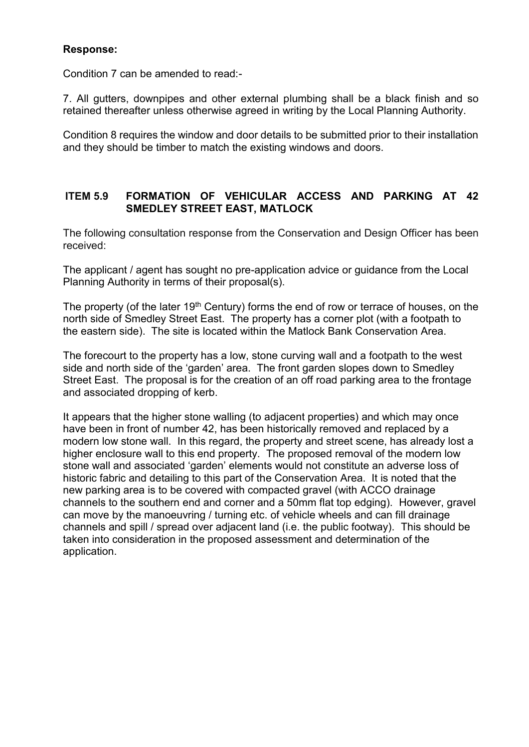## **Response:**

Condition 7 can be amended to read:-

7. All gutters, downpipes and other external plumbing shall be a black finish and so retained thereafter unless otherwise agreed in writing by the Local Planning Authority.

Condition 8 requires the window and door details to be submitted prior to their installation and they should be timber to match the existing windows and doors.

## **ITEM 5.9 FORMATION OF VEHICULAR ACCESS AND PARKING AT 42 SMEDLEY STREET EAST, MATLOCK**

The following consultation response from the Conservation and Design Officer has been received:

The applicant / agent has sought no pre-application advice or guidance from the Local Planning Authority in terms of their proposal(s).

The property (of the later 19<sup>th</sup> Century) forms the end of row or terrace of houses, on the north side of Smedley Street East. The property has a corner plot (with a footpath to the eastern side). The site is located within the Matlock Bank Conservation Area.

The forecourt to the property has a low, stone curving wall and a footpath to the west side and north side of the 'garden' area. The front garden slopes down to Smedley Street East. The proposal is for the creation of an off road parking area to the frontage and associated dropping of kerb.

It appears that the higher stone walling (to adjacent properties) and which may once have been in front of number 42, has been historically removed and replaced by a modern low stone wall. In this regard, the property and street scene, has already lost a higher enclosure wall to this end property. The proposed removal of the modern low stone wall and associated 'garden' elements would not constitute an adverse loss of historic fabric and detailing to this part of the Conservation Area. It is noted that the new parking area is to be covered with compacted gravel (with ACCO drainage channels to the southern end and corner and a 50mm flat top edging). However, gravel can move by the manoeuvring / turning etc. of vehicle wheels and can fill drainage channels and spill / spread over adjacent land (i.e. the public footway). This should be taken into consideration in the proposed assessment and determination of the application.